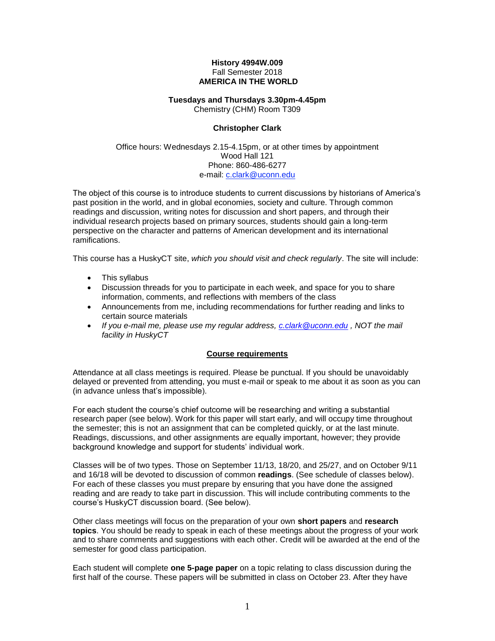#### **History 4994W.009** Fall Semester 2018 **AMERICA IN THE WORLD**

# **Tuesdays and Thursdays 3.30pm-4.45pm**

Chemistry (CHM) Room T309

## **Christopher Clark**

#### Office hours: Wednesdays 2.15-4.15pm, or at other times by appointment Wood Hall 121 Phone: 860-486-6277 e-mail: [c.clark@uconn.edu](mailto:c.clark@uconn.edu)

The object of this course is to introduce students to current discussions by historians of America's past position in the world, and in global economies, society and culture. Through common readings and discussion, writing notes for discussion and short papers, and through their individual research projects based on primary sources, students should gain a long-term perspective on the character and patterns of American development and its international ramifications.

This course has a HuskyCT site, *which you should visit and check regularly*. The site will include:

- This syllabus
- Discussion threads for you to participate in each week, and space for you to share information, comments, and reflections with members of the class
- Announcements from me, including recommendations for further reading and links to certain source materials
- *If you e-mail me, please use my regular address, [c.clark@uconn.edu](mailto:c.clark@uconn.edu) , NOT the mail facility in HuskyCT*

#### **Course requirements**

Attendance at all class meetings is required. Please be punctual. If you should be unavoidably delayed or prevented from attending, you must e-mail or speak to me about it as soon as you can (in advance unless that's impossible).

For each student the course's chief outcome will be researching and writing a substantial research paper (see below). Work for this paper will start early, and will occupy time throughout the semester; this is not an assignment that can be completed quickly, or at the last minute. Readings, discussions, and other assignments are equally important, however; they provide background knowledge and support for students' individual work.

Classes will be of two types. Those on September 11/13, 18/20, and 25/27, and on October 9/11 and 16/18 will be devoted to discussion of common **readings**. (See schedule of classes below). For each of these classes you must prepare by ensuring that you have done the assigned reading and are ready to take part in discussion. This will include contributing comments to the course's HuskyCT discussion board. (See below).

Other class meetings will focus on the preparation of your own **short papers** and **research topics**. You should be ready to speak in each of these meetings about the progress of your work and to share comments and suggestions with each other. Credit will be awarded at the end of the semester for good class participation.

Each student will complete **one 5-page paper** on a topic relating to class discussion during the first half of the course. These papers will be submitted in class on October 23. After they have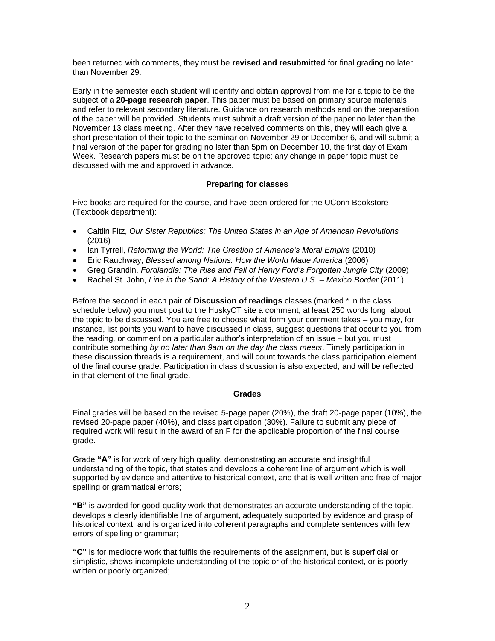been returned with comments, they must be **revised and resubmitted** for final grading no later than November 29.

Early in the semester each student will identify and obtain approval from me for a topic to be the subject of a **20-page research paper**. This paper must be based on primary source materials and refer to relevant secondary literature. Guidance on research methods and on the preparation of the paper will be provided. Students must submit a draft version of the paper no later than the November 13 class meeting. After they have received comments on this, they will each give a short presentation of their topic to the seminar on November 29 or December 6, and will submit a final version of the paper for grading no later than 5pm on December 10, the first day of Exam Week. Research papers must be on the approved topic; any change in paper topic must be discussed with me and approved in advance.

### **Preparing for classes**

Five books are required for the course, and have been ordered for the UConn Bookstore (Textbook department):

- Caitlin Fitz, *Our Sister Republics: The United States in an Age of American Revolutions* (2016)
- Ian Tyrrell, *Reforming the World: The Creation of America's Moral Empire* (2010)
- Eric Rauchway, *Blessed among Nations: How the World Made America* (2006)
- Greg Grandin, *Fordlandia: The Rise and Fall of Henry Ford's Forgotten Jungle City* (2009)
- Rachel St. John, *Line in the Sand: A History of the Western U.S. – Mexico Border* (2011)

Before the second in each pair of **Discussion of readings** classes (marked \* in the class schedule below) you must post to the HuskyCT site a comment, at least 250 words long, about the topic to be discussed. You are free to choose what form your comment takes – you may, for instance, list points you want to have discussed in class, suggest questions that occur to you from the reading, or comment on a particular author's interpretation of an issue – but you must contribute something *by no later than 9am on the day the class meets*. Timely participation in these discussion threads is a requirement, and will count towards the class participation element of the final course grade. Participation in class discussion is also expected, and will be reflected in that element of the final grade.

#### **Grades**

Final grades will be based on the revised 5-page paper (20%), the draft 20-page paper (10%), the revised 20-page paper (40%), and class participation (30%). Failure to submit any piece of required work will result in the award of an F for the applicable proportion of the final course grade.

Grade **"A"** is for work of very high quality, demonstrating an accurate and insightful understanding of the topic, that states and develops a coherent line of argument which is well supported by evidence and attentive to historical context, and that is well written and free of major spelling or grammatical errors;

**"B"** is awarded for good-quality work that demonstrates an accurate understanding of the topic, develops a clearly identifiable line of argument, adequately supported by evidence and grasp of historical context, and is organized into coherent paragraphs and complete sentences with few errors of spelling or grammar;

**"C"** is for mediocre work that fulfils the requirements of the assignment, but is superficial or simplistic, shows incomplete understanding of the topic or of the historical context, or is poorly written or poorly organized;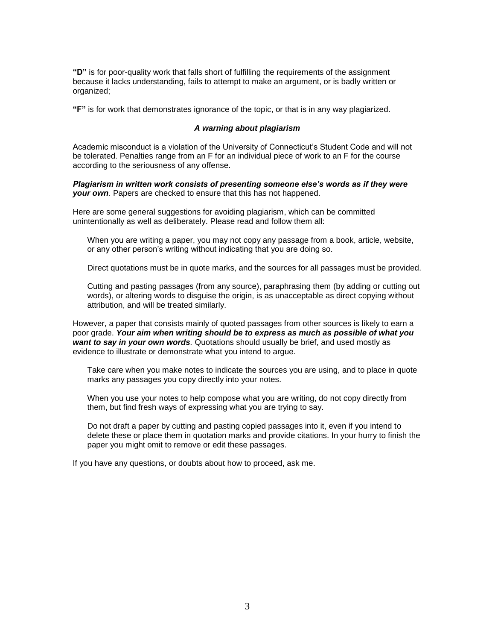**"D"** is for poor-quality work that falls short of fulfilling the requirements of the assignment because it lacks understanding, fails to attempt to make an argument, or is badly written or organized;

**"F"** is for work that demonstrates ignorance of the topic, or that is in any way plagiarized.

#### *A warning about plagiarism*

Academic misconduct is a violation of the University of Connecticut's Student Code and will not be tolerated. Penalties range from an F for an individual piece of work to an F for the course according to the seriousness of any offense.

*Plagiarism in written work consists of presenting someone else's words as if they were your own*. Papers are checked to ensure that this has not happened.

Here are some general suggestions for avoiding plagiarism, which can be committed unintentionally as well as deliberately. Please read and follow them all:

When you are writing a paper, you may not copy any passage from a book, article, website, or any other person's writing without indicating that you are doing so.

Direct quotations must be in quote marks, and the sources for all passages must be provided.

Cutting and pasting passages (from any source), paraphrasing them (by adding or cutting out words), or altering words to disguise the origin, is as unacceptable as direct copying without attribution, and will be treated similarly.

However, a paper that consists mainly of quoted passages from other sources is likely to earn a poor grade. *Your aim when writing should be to express as much as possible of what you want to say in your own words.* Quotations should usually be brief, and used mostly as evidence to illustrate or demonstrate what you intend to argue.

Take care when you make notes to indicate the sources you are using, and to place in quote marks any passages you copy directly into your notes.

When you use your notes to help compose what you are writing, do not copy directly from them, but find fresh ways of expressing what you are trying to say.

Do not draft a paper by cutting and pasting copied passages into it, even if you intend to delete these or place them in quotation marks and provide citations. In your hurry to finish the paper you might omit to remove or edit these passages.

If you have any questions, or doubts about how to proceed, ask me.